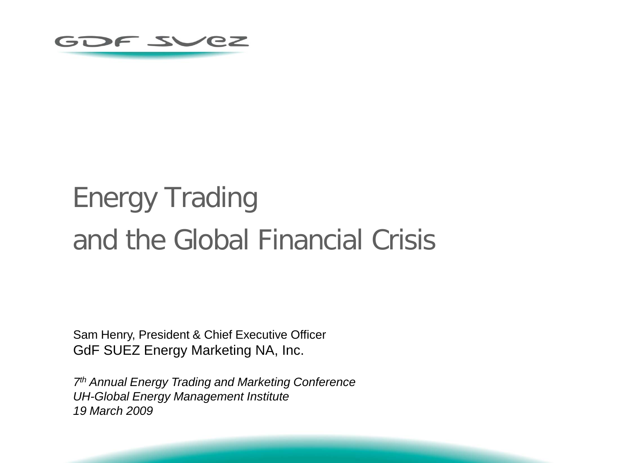

# Energy Trading and the Global Financial Crisis

Sam Henry, President & Chief Executive Officer GdF SUEZ Energy Marketing NA, Inc.

*7th Annual Energy Trading and Marketing Conference UH-Global Energy Management Institute 19 March 2009*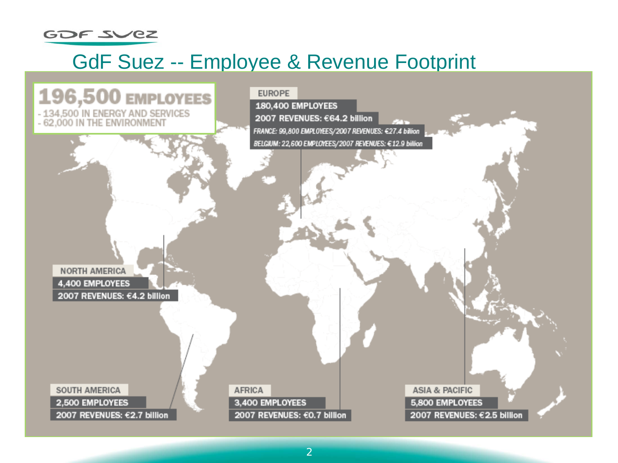

### GdF Suez -- Employee & Revenue Footprint

#### 196,500 EMPLOYEES - 134,500 IN ENERGY AND SERVICES<br>- 62,000 IN THE ENVIRONMENT

**EUROPE** 180,400 EMPLOYEES 2007 REVENUES: €64.2 billion

FRANCE: 99,800 EMPLOYEES/2007 REVENUES: €27.4 billion BELGIUM: 22,600 EMPLOYEES/2007 REVENUES: €12.9 billion

**NORTH AMERICA** 4,400 EMPLOYEES 2007 REVENUES: €4.2 billion

SOUTH AMERICA 2,500 EMPLOYEES 2007 REVENUES: €2.7 billion AFRICA 3,400 EMPLOYEES 2007 REVENUES: €0.7 billion

ASIA & PACIFIC 5,800 EMPLOYEES 2007 REVENUES: €2.5 billion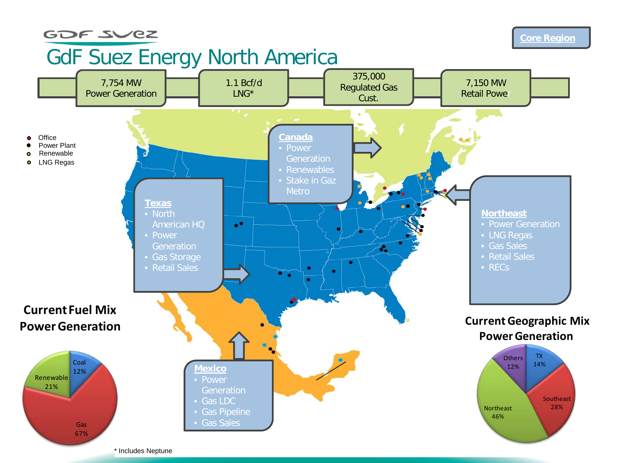#### GOF SVEZ

#### **Core Region**

# GdF Suez Energy North America

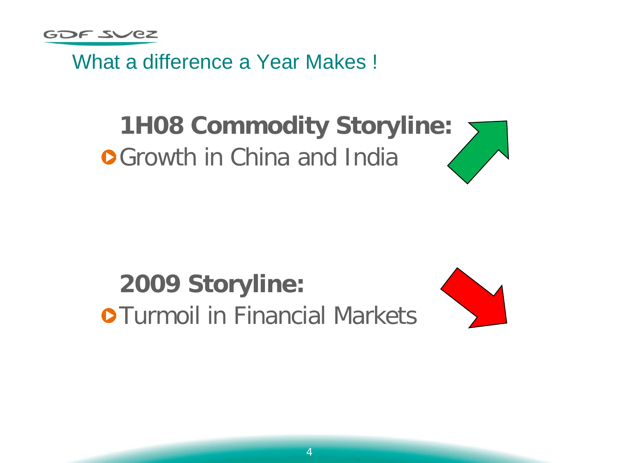What a difference a Year Makes !

# **1H08 Commodity Storyline: OGrowth in China and India**

# **2009 Storyline: OTurmoil in Financial Markets**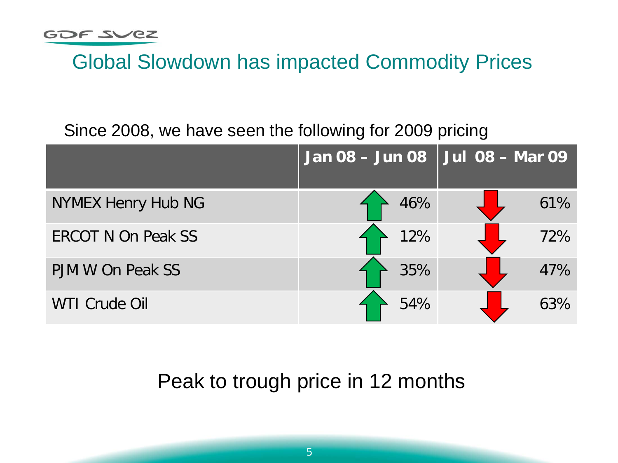## Global Slowdown has impacted Commodity Prices

#### Since 2008, we have seen the following for 2009 pricing

|                           | Jan 08 - Jun 08   Jul 08 - Mar 09 |     |
|---------------------------|-----------------------------------|-----|
| NYMEX Henry Hub NG        | 46%                               | 61% |
| <b>ERCOT N On Peak SS</b> | 12%                               | 72% |
| PJM W On Peak SS          | 35%                               | 47% |
| <b>WTI Crude Oil</b>      | 54%                               | 63% |

### Peak to trough price in 12 months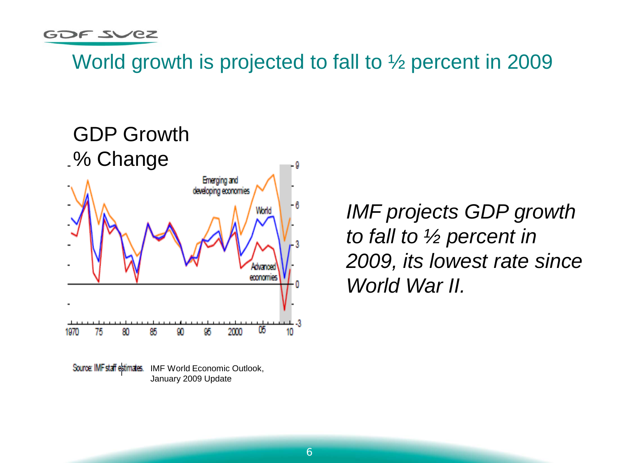World growth is projected to fall to ½ percent in 2009



Source IMF staff estimates. IMF World Economic Outlook, January 2009 Update

*IMF projects GDP growth to fall to ½ percent in 2009, its lowest rate since World War II.*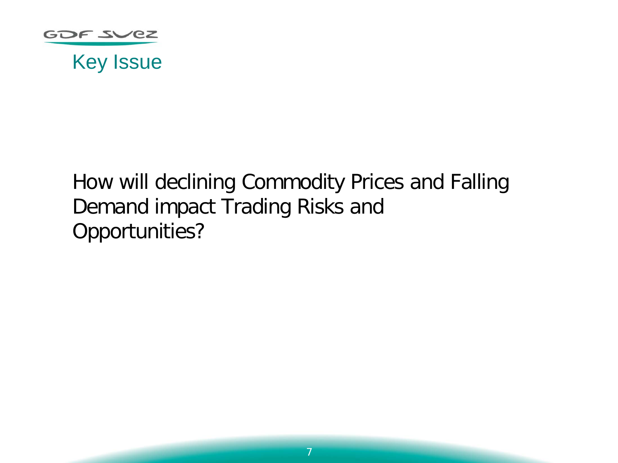

#### Key Issue

# How will declining Commodity Prices and Falling Demand impact Trading Risks and Opportunities?

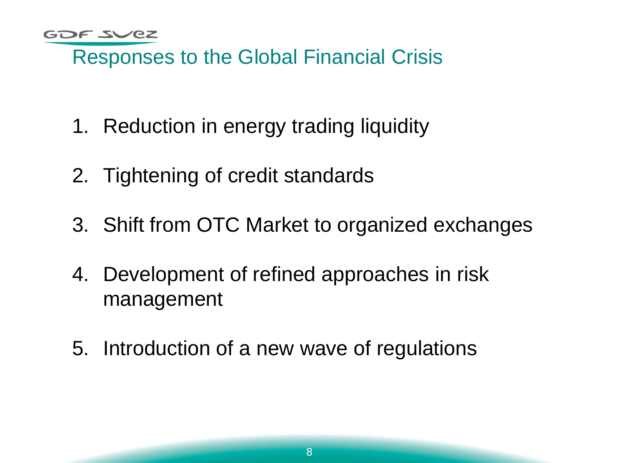## Responses to the Global Financial Crisis

- 1. Reduction in energy trading liquidity
- 2. Tightening of credit standards
- 3. Shift from OTC Market to organized exchanges
- 4. Development of refined approaches in risk management
- 5. Introduction of a new wave of regulations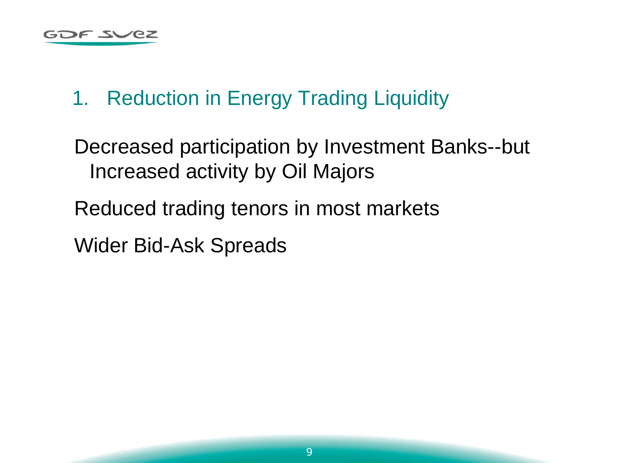# 1. Reduction in Energy Trading Liquidity

Decreased participation by Investment Banks--but Increased activity by Oil Majors

Reduced trading tenors in most markets

Wider Bid-Ask Spreads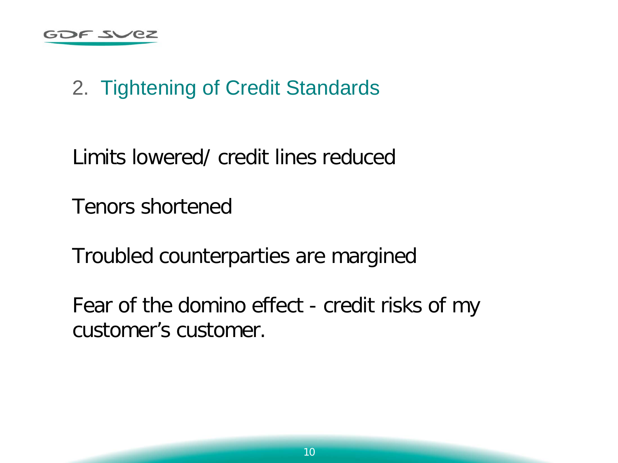# 2. Tightening of Credit Standards

Limits lowered/ credit lines reduced

Tenors shortened

Troubled counterparties are margined

Fear of the domino effect - credit risks of my customer's customer.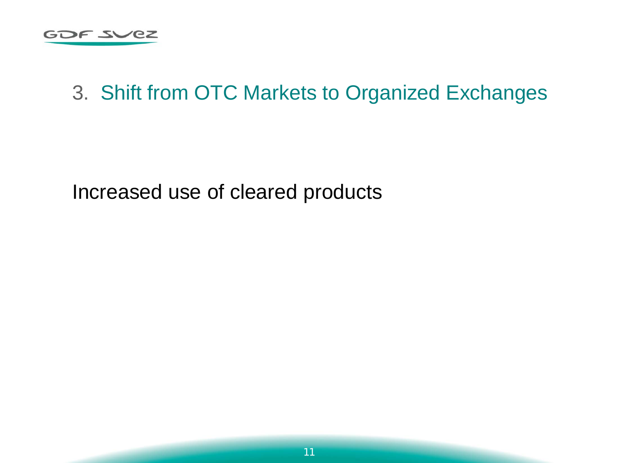

#### 3. Shift from OTC Markets to Organized Exchanges

Increased use of cleared products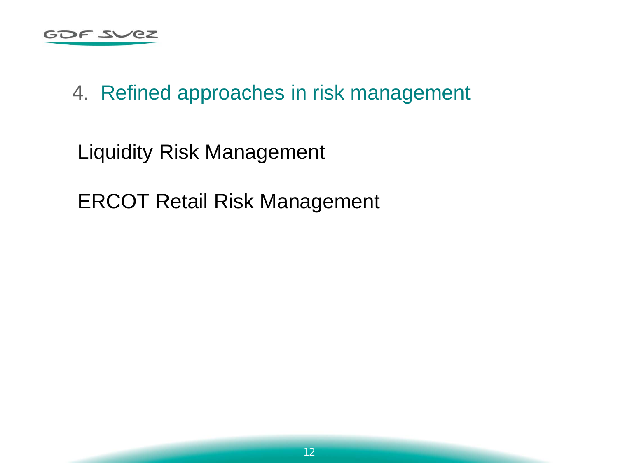

### 4. Refined approaches in risk management

Liquidity Risk Management

ERCOT Retail Risk Management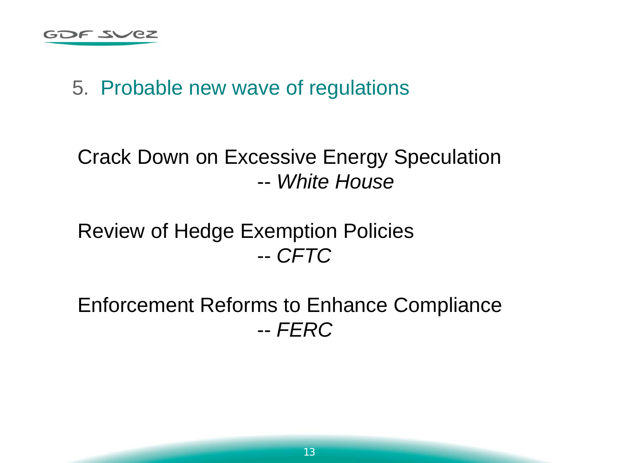# 5. Probable new wave of regulations

# Crack Down on Excessive Energy Speculation -- *White House*

### Review of Hedge Exemption Policies -- *CFTC*

Enforcement Reforms to Enhance Compliance -- *FERC*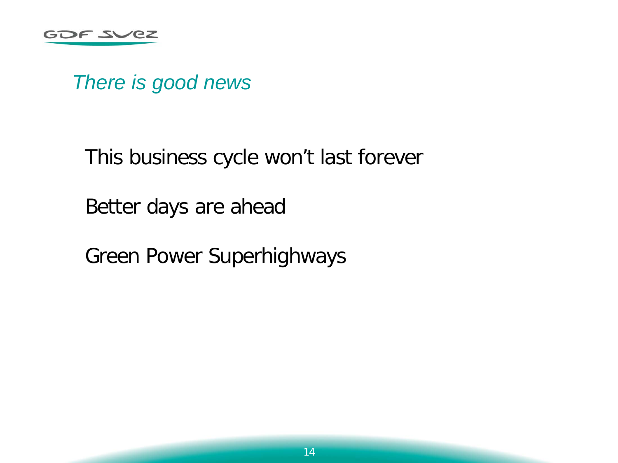*There is good news*

This business cycle won't last forever

Better days are ahead

Green Power Superhighways